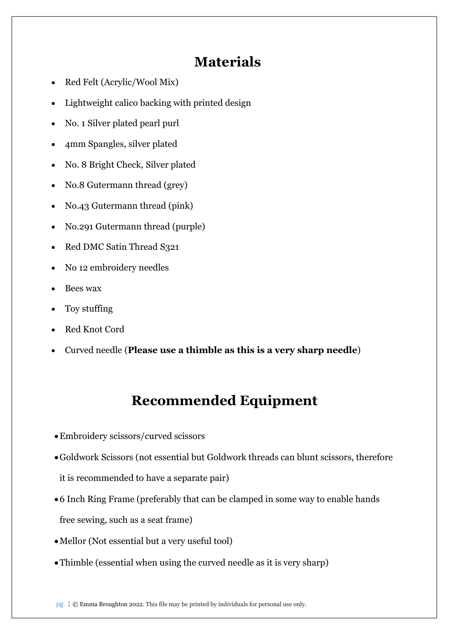## Materials

- Red Felt (Acrylic/Wool Mix)
- Lightweight calico backing with printed design
- No. 1 Silver plated pearl purl
- 4mm Spangles, silver plated
- No. 8 Bright Check, Silver plated
- No.8 Gutermann thread (grey)
- No.43 Gutermann thread (pink)
- No.291 Gutermann thread (purple)
- Red DMC Satin Thread S321
- No 12 embroidery needles
- Bees wax
- Toy stuffing
- Red Knot Cord
- Curved needle (Please use a thimble as this is a very sharp needle)

## Recommended Equipment

- Embroidery scissors/curved scissors
- Goldwork Scissors (not essential but Goldwork threads can blunt scissors, therefore it is recommended to have a separate pair)
- 6 Inch Ring Frame (preferably that can be clamped in some way to enable hands free sewing, such as a seat frame)
- Mellor (Not essential but a very useful tool)
- Thimble (essential when using the curved needle as it is very sharp)

pg. 1 © Emma Broughton 2022. This file may be printed by individuals for personal use only.